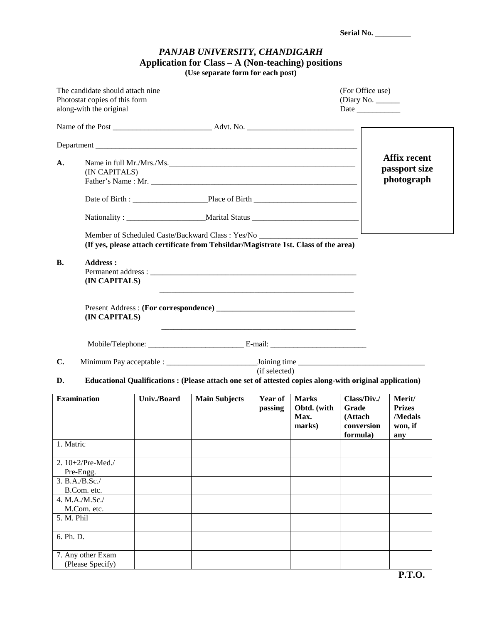| Serial No. |  |
|------------|--|
|------------|--|

## *PANJAB UNIVERSITY, CHANDIGARH*  **Application for Class – A (Non-teaching) positions**

**(Use separate form for each post)** 

|                    | The candidate should attach nine<br>Photostat copies of this form<br>along-with the original |             |                                                                                                                                                                           |                    |                                               | (For Office use)<br>(Diary No. $\_\_\_\_\_\_\_\_\_\_\_\_\_\_\_\_\_\_\_\_\_\_\_\_\_\_\_\_\_\_\_\_\_$<br>Date |                                                      |
|--------------------|----------------------------------------------------------------------------------------------|-------------|---------------------------------------------------------------------------------------------------------------------------------------------------------------------------|--------------------|-----------------------------------------------|-------------------------------------------------------------------------------------------------------------|------------------------------------------------------|
|                    |                                                                                              |             |                                                                                                                                                                           |                    |                                               |                                                                                                             |                                                      |
|                    |                                                                                              |             |                                                                                                                                                                           |                    |                                               |                                                                                                             |                                                      |
| A.                 | Name in full Mr./Mrs./Ms.<br>(IN CAPITALS)                                                   |             |                                                                                                                                                                           |                    |                                               |                                                                                                             | <b>Affix recent</b><br>passport size<br>photograph   |
|                    |                                                                                              |             |                                                                                                                                                                           |                    |                                               |                                                                                                             |                                                      |
|                    |                                                                                              |             |                                                                                                                                                                           |                    |                                               |                                                                                                             |                                                      |
|                    |                                                                                              |             | Member of Scheduled Caste/Backward Class: Yes/No ________________________________<br>(If yes, please attach certificate from Tehsildar/Magistrate 1st. Class of the area) |                    |                                               |                                                                                                             |                                                      |
| <b>B.</b>          | <b>Address:</b><br>(IN CAPITALS)                                                             |             |                                                                                                                                                                           |                    |                                               |                                                                                                             |                                                      |
|                    | (IN CAPITALS)                                                                                |             | Present Address: (For correspondence)                                                                                                                                     |                    |                                               |                                                                                                             |                                                      |
|                    |                                                                                              |             |                                                                                                                                                                           |                    |                                               |                                                                                                             |                                                      |
| $\mathbf{C}$ .     |                                                                                              |             |                                                                                                                                                                           | (if selected)      |                                               |                                                                                                             |                                                      |
| D.                 |                                                                                              |             | Educational Qualifications : (Please attach one set of attested copies along-with original application)                                                                   |                    |                                               |                                                                                                             |                                                      |
| <b>Examination</b> |                                                                                              | Univ./Board | <b>Main Subjects</b>                                                                                                                                                      | Year of<br>passing | <b>Marks</b><br>Obtd. (with<br>Max.<br>marks) | Class/Div./<br>Grade<br>(Attach<br>conversion<br>formula)                                                   | Merit/<br><b>Prizes</b><br>/Medals<br>won, if<br>any |
| 1. Matric          |                                                                                              |             |                                                                                                                                                                           |                    |                                               |                                                                                                             |                                                      |
|                    | 2. 10+2/Pre-Med./<br>Pre-Engg.                                                               |             |                                                                                                                                                                           |                    |                                               |                                                                                                             |                                                      |
|                    | 3. B.A./B.Sc./                                                                               |             |                                                                                                                                                                           |                    |                                               |                                                                                                             |                                                      |
|                    | B.Com. etc.<br>4. M.A./M.Sc./                                                                |             |                                                                                                                                                                           |                    |                                               |                                                                                                             |                                                      |
|                    | M.Com. etc.                                                                                  |             |                                                                                                                                                                           |                    |                                               |                                                                                                             |                                                      |
| 5. M. Phil         |                                                                                              |             |                                                                                                                                                                           |                    |                                               |                                                                                                             |                                                      |
| 6. Ph. D.          |                                                                                              |             |                                                                                                                                                                           |                    |                                               |                                                                                                             |                                                      |
|                    | 7. Any other Exam<br>(Please Specify)                                                        |             |                                                                                                                                                                           |                    |                                               |                                                                                                             |                                                      |